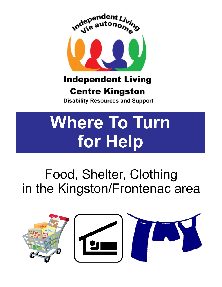

### **Independent Living**

### **Centre Kingston**

**Disability Resources and Support** 

# **Where To Turn for Help**

## Food, Shelter, Clothing in the Kingston/Frontenac area

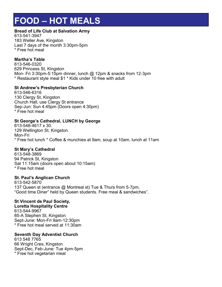### **FOOD – HOT MEALS**

### **Bread of Life Club at Salvation Army**

613-541-3947 183 Weller Ave, Kingston Last 7 days of the month 3:30pm-5pm \* Free hot meal

### **Martha's Table**

613-546-0320 629 Princess St, Kingston Mon- Fri 3:30pm-5:15pm dinner, lunch @ 12pm & snacks from 12-3pm \* Restaurant style meal \$1 \* Kids under 10 free with adult

### **St Andrew's Presbyterian Church**

613-546-6316 130 Clergy St, Kingston Church Hall, use Clergy St entrance Sep-Jun: Sun 4:45pm (Doors open 4:30pm) \* Free hot meal

### **St George's Cathedral, LUNCH by George**

613-548-4617 x 30. 129 Wellington St, Kingston. Mon-Fri \* Free hot lunch \* Coffee & munchies at 9am, soup at 10am, lunch at 11am

### **St Mary's Cathedral**

613-548-3869 94 Patrick St, Kingston Sat 11:15am (doors open about 10:15am) \* Free hot meal

### **St. Paul's Anglican Church**

613-542-5870 137 Queen st (entrance @ Montreal st) Tue & Thurs from 5-7pm, "Good time Diner" held by Queen students. Free meal & sandwiches".

### **St Vincent de Paul Society,**

**Loretta Hospitality Centre** 613-544-9967 85-A Stephen St, Kingston Sept-June: Mon-Fri 9am-12:30pm \* Free hot meal served at 11:30am

### **Seventh Day Adventist Church**

613 548 7765 66 Wright Cres, Kingston Sept-Dec, Feb-June: Tue 4pm-5pm \* Free hot vegetarian meal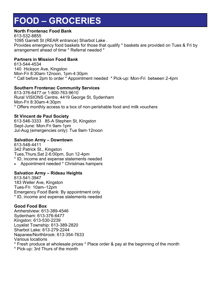### **FOOD – GROCERIES**

### **North Frontenac Food Bank**

613-532-8855 1095 Garrett St (REAR entrance) Sharbot Lake . Provides emergency food baskets for those that qualify \* baskets are provided on Tues & Fri by arrangement ahead of time \* Referral needed \*

### **Partners in Mission Food Bank**

613-544-4534 140 Hickson Ave, Kingston Mon-Fri 8:30am-12noon, 1pm-4:30pm \* Call before 2pm to order \* Appointment needed \* Pick-up: Mon-Fri between 2-4pm

### **Southern Frontenac Community Services**

613-376-6477 or 1-800-763-9610 Rural VISIONS Centre, 4419 George St, Sydenham Mon-Fri 8:30am-4:30pm \* Offers monthly access to a box of non-perishable food and milk vouchers

### **St Vincent de Paul Society**

613-546-3333 85-A Stephen St, Kingston Sept-June: Mon-Fri 9am-1pm Jul-Aug (emergencies only): Tue 9am-12noon

### **Salvation Army – Downtown**

613-548-4411 342 Patrick St., Kingston Tues,Thurs,Sat 2-6:00pm, Sun 12-4pm \* ID, income and expense statements needed

Appointment needed \* Christmas hampers

### **Salvation Army – Rideau Heights**

613-541-3947 183 Weller Ave, Kingston Tues-Fri 10am–12pm Emergency Food Bank: By appointment only \* ID, income and expense statements needed

### **Good Food Box**

Amherstview: 613-389-4546 Sydenham: 613-376-6477 Kingston: 613-530-2239 Loyalist Township: 613-389-2820 Sharbot Lake: 613-279-2244 Napanee/Northbrook: 613-354-7633 Various locations \* Fresh produce at wholesale prices \* Place order & pay at the beginning of the month

\* Pick-up: 3rd Thurs of the month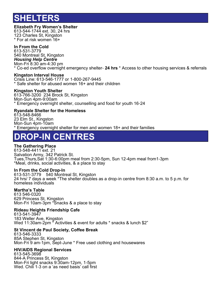### **ELTERS**

### **Elizabeth Fry Women's Shelter**

613-544-1744 ext. 30, 24 hrs 123 Charles St, Kingston \* For at risk women 16+

### **In From the Cold**

613-531-3779 540 Montreal St, Kingston *Housing Help Centre* Mon-Fri 8:30 am-4:30 pm \* Co-ed overflow overnight emergency shelter- **24 hrs** \* Access to other housing services & referrals

#### **Kingston Interval House**

Crisis Line: 613-546-1777 or 1-800-267-9445 \* Safe shelter for abused women 16+ and their children

#### **Kingston Youth Shelter**

613-766-3200 234 Brock St, Kingston Mon-Sun 4pm-9:00am \* Emergency overnight shelter, counselling and food for youth 16-24

### **Ryandale Shelter for the Homeless**

613-548-8466 23 Elm St., Kingston Mon-Sun 4pm-10am \* Emergency overnight shelter for men and women 18+ and their families

### **DROP-IN CENTRES**

### **The Gathering Place**

613-548-4411 ext. 21 Salvation Army, 342 Patrick St. Tues,Thurs,Sat 1:30-6:00pm meal from 2:30-5pm, Sun 12-4pm meal from1-3pm \*Meal, drinks, social activities, & a place to stay

### **In From the Cold Drop-In**

613-531-3779 540 Montreal St, Kingston 24 hrs/ 7 days a week \*The shelter doubles as a drop-in centre from 8:30 a.m. to 5 p.m. for homeless individuals

### **Martha's Table**

613 546-0320 629 Princess St, Kingston Mon-Fri 10am-3pm \*Snacks & a place to stay

### **Rideau Heights Friendship Cafe**

613-541-3947 183 Weller Ave, Kingston Wed 11:30am-2pm<sup>\*</sup> Activities & event for adults \* snacks & lunch \$2"

### **St Vincent de Paul Society, Coffee Break**

613-546-3333 85A Stephen St, Kingston Mon-Fri 9 am-1pm, Sept-June \* Free used clothing and housewares

### **HIV/AIDS Regional Services**

613-545-3698 844-A Princess St, Kingston Mon-Fri light snacks 9:30am-12pm, 1-5pm Wed. Chili 1-3 on a 'as need basis' call first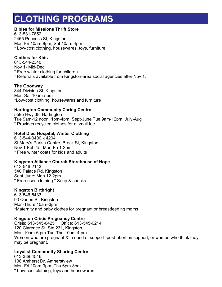### **CLOTHING PROGRAMS**

### **Bibles for Missions Thrift Store**

613-531-7852 2455 Princess St, Kingston Mon-Fri 10am-8pm; Sat 10am-4pm \* Low-cost clothing, housewares, toys, furniture

### **Clothes for Kids**

613-544-2340 Nov 1- Mid-Dec \* Free winter clothing for children \* Referrals available from Kingston-area social agencies after Nov 1.

### **The Goodway**

844 Division St, Kingston Mon-Sat 10am-5pm \*Low-cost clothing, housewares and furniture

### **Hartington Community Caring Centre**

5595 Hwy 38, Hartington Tue 9am-12 noon, 1pm-4pm, Sept-June Tue 9am-12pm, July-Aug \* Provides recycled clothes for a small fee

### **Hotel Dieu Hospital, Winter Clothing**

613-544-3400 x 4204 St.Mary's Parish Centre, Brock St, Kingston Nov 1-Feb 15: Mon-Fri 1-3pm \* Free winter coats for kids and adults

### **Kingston Alliance Church Storehouse of Hope**

613-546-2143 540 Palace Rd, Kingston Sept-June: Mon 12-2pm \* Free used clothing \* Soup & snacks

### **Kingston Birthright**

613-546-5433 93 Queen St, Kingston Mon-Thurs 10am-3pm \*Maternity and baby clothes for pregnant or breastfeeding moms

### **Kingston Crisis Pregnancy Centre**

Crisis: 613-545-0425 Office: 613-545-0214 120 Clarence St, Ste 231, Kingston Mon 10am-6 pm Tue-Thu 10am-4 pm Women who are pregnant & in need of support, post-abortion support, or women who think they may be pregnant.

### **Loyalist Community Sharing Centre**

613-389-4546 108 Amherst Dr, Amherstview Mon-Fri 10am-3pm; Thu 6pm-8pm \* Low-cost clothing, toys and housewares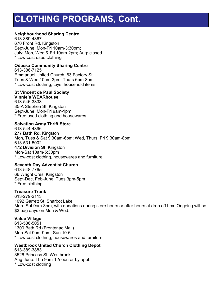### **CLOTHING PROGRAMS, Cont.**

### **Neighbourhood Sharing Centre**

613-389-4367 670 Front Rd, Kingston Sept-June: Mon-Fri 10am-3:30pm; July: Mon, Wed & Fri 10am-2pm; Aug: closed \* Low-cost used clothing

### **Odessa Community Sharing Centre**

613-386-7125 Emmanuel United Church, 63 Factory St Tues & Wed 10am-3pm; Thurs 6pm-8pm \* Low-cost clothing, toys, household items

#### **St Vincent de Paul Society Vinnie's WEARhouse**

613-546-3333 85-A Stephen St, Kingston Sept-June: Mon-Fri 9am-1pm \* Free used clothing and housewares

### **Salvation Army Thrift Store**

613-544-4396 **277 Bath Rd**, Kingston Mon, Tues & Sat 9:30am-6pm; Wed, Thurs, Fri 9:30am-8pm 613-531-5002 **472 Division St**, Kingston Mon-Sat 10am-5:30pm \* Low-cost clothing, housewares and furniture

### **Seventh Day Adventist Church**

613-548-7765 66 Wright Cres, Kingston Sept-Dec, Feb-June: Tues 3pm-5pm \* Free clothing

### **Treasure Trunk**

613-279-2113 1092 Garrett St, Sharbot Lake Mon- Sat 9am-3pm, with donations during store hours or after hours at drop off box. Ongoing will be \$3 bag days on Mon & Wed.

### **Value Village**

613-536-5051 1300 Bath Rd (Frontenac Mall) Mon-Sat 9am-9pm; Sun 10-6 \* Low-cost clothing, housewares and furniture

### **Westbrook United Church Clothing Depot**

613-389-3883 3526 Princess St, Westbrook Aug-June: Thu 9am-12noon or by appt. \* Low-cost clothing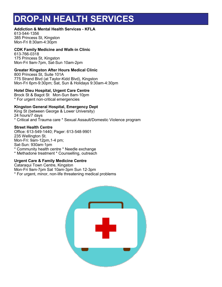### **DROP-IN HEALTH SERVICES**

#### **Addiction & Mental Health Services - KFLA**

613-544-1356 385 Princess St, Kingston Mon-Fri 8:30am-4:30pm

#### **CDK Family Medicine and Walk-in Clinic**

613-766-0318 175 Princess St, Kingston Mon-Fri 9am-7pm, Sat-Sun 10am-2pm

### **Greater Kingston After Hours Medical Clinic**

800 Princess St, Suite 101A 775 Strand Blvd (at Taylor-Kidd Blvd), Kingston Mon-Fri 6pm-9:30pm; Sat, Sun & Holidays 9:30am-4:30pm

### **Hotel Dieu Hospital, Urgent Care Centre**

Brock St & Bagot St Mon-Sun 8am-10pm \* For urgent non-critical emergencies

### **Kingston General Hospital, Emergency Dept**

King St (between George & Lower University) 24 hours/7 days \* Critical and Trauma care \* Sexual Assault/Domestic Violence program

#### **Street Health Centre**

Office: 613-549-1440; Pager: 613-548-9901 235 Wellington St. Mon-Fri: 9am-12pm,1-4 pm; Sat-Sun: 930am-1pm \* Community health centre \* Needle exchange \* Methadone treatment \* Counselling, outreach

### **Urgent Care & Family Medicine Centre**

Cataraqui Town Centre, Kingston Mon-Fri 9am-7pm Sat 10am-3pm Sun 12-3pm \* For urgent, minor, non-life threatening medical problems